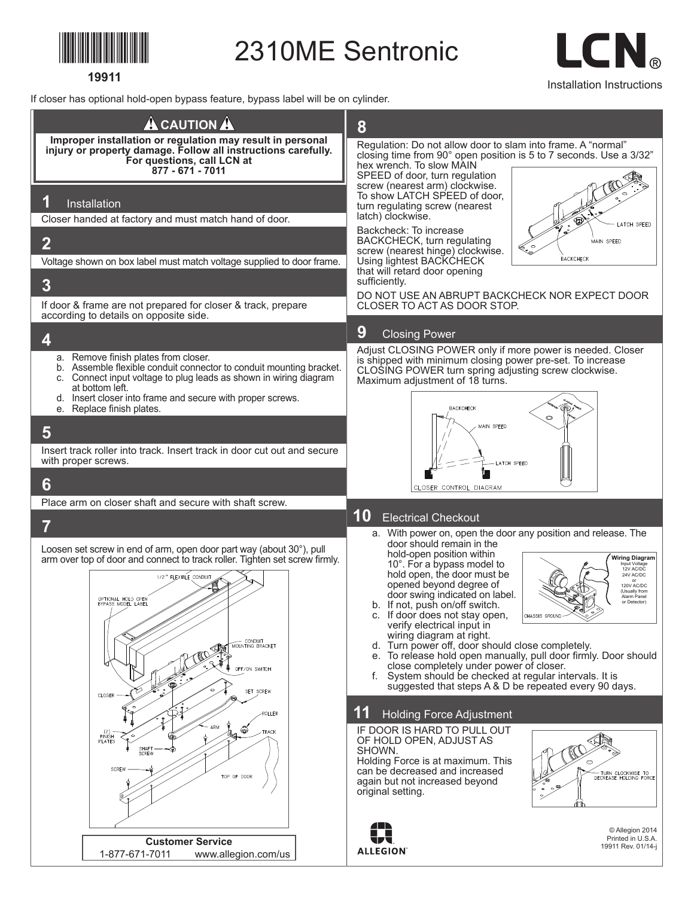

**19911**

2310ME Sentronic

Installation Instructions

If closer has optional hold-open bypass feature, bypass label will be on cylinder.

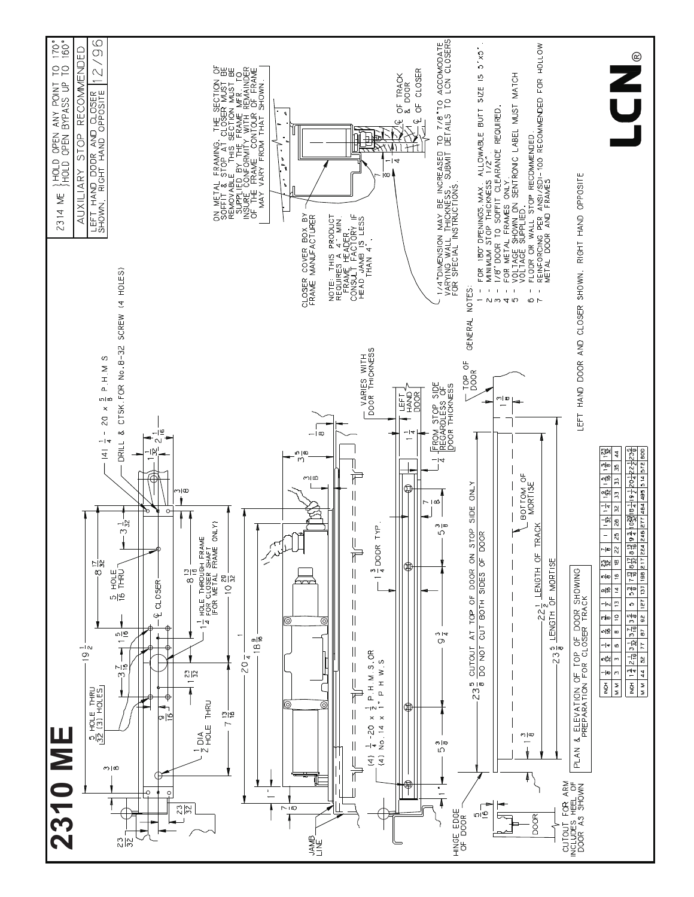